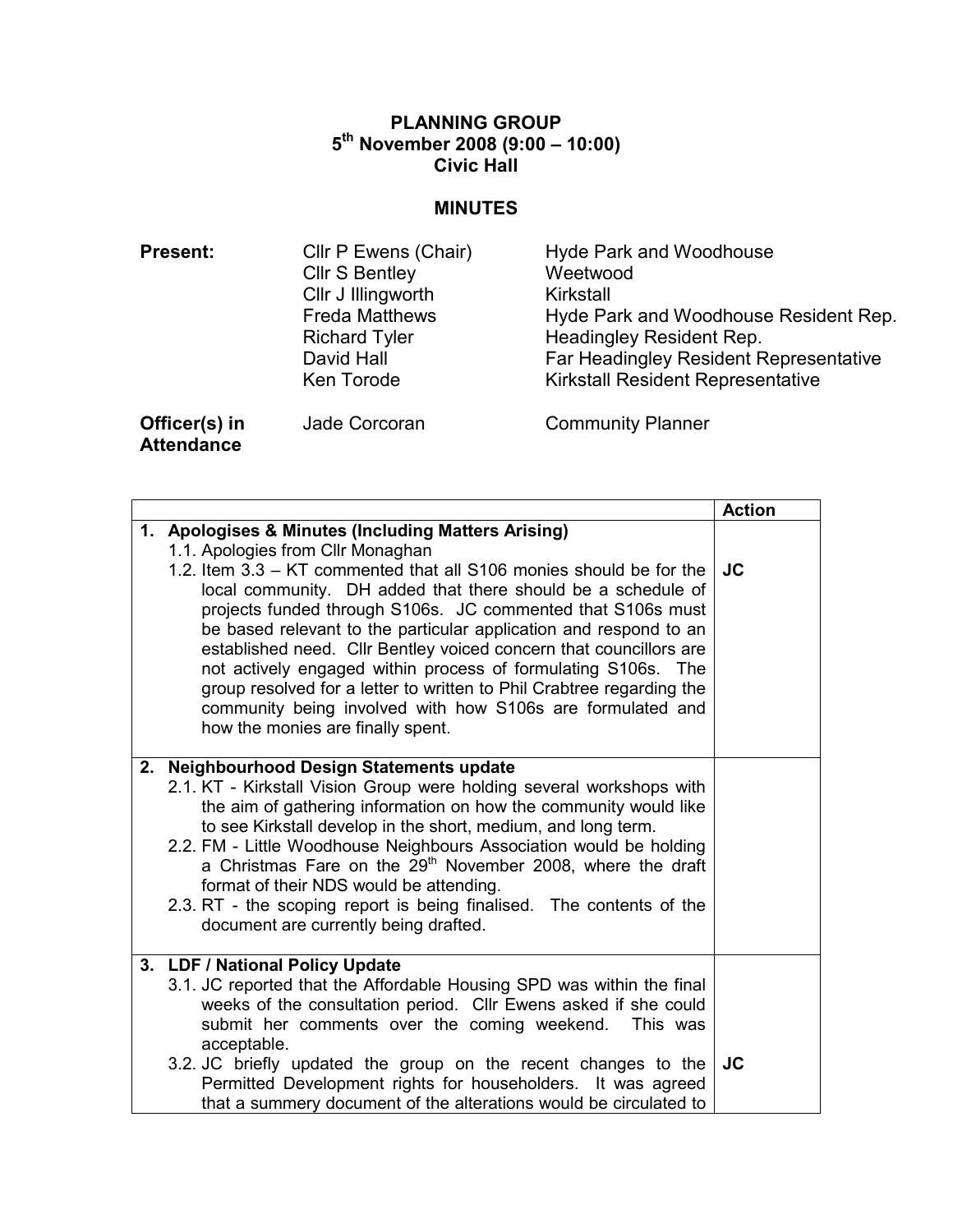# PLANNING GROUP 5 th November 2008 (9:00 – 10:00) Civic Hall

### **MINUTES**

| <b>Present:</b> | Cllr P Ewens (Chair)  | <b>Hyde Park and Woodhouse</b>           |
|-----------------|-----------------------|------------------------------------------|
|                 | <b>Cllr S Bentley</b> | Weetwood                                 |
|                 | Cllr J Illingworth    | Kirkstall                                |
|                 | <b>Freda Matthews</b> | Hyde Park and Woodhouse Resident Rep.    |
|                 | <b>Richard Tyler</b>  | Headingley Resident Rep.                 |
|                 | David Hall            | Far Headingley Resident Representative   |
|                 | Ken Torode            | <b>Kirkstall Resident Representative</b> |
| Officer(s) in   | Jade Corcoran         | <b>Community Planner</b>                 |

**Attendance** 

Action 1. Apologises & Minutes (Including Matters Arising) 1.1. Apologies from Cllr Monaghan 1.2. Item 3.3 – KT commented that all S106 monies should be for the local community. DH added that there should be a schedule of projects funded through S106s. JC commented that S106s must be based relevant to the particular application and respond to an established need. Cllr Bentley voiced concern that councillors are not actively engaged within process of formulating S106s. The group resolved for a letter to written to Phil Crabtree regarding the community being involved with how S106s are formulated and how the monies are finally spent. JC 2. Neighbourhood Design Statements update 2.1. KT - Kirkstall Vision Group were holding several workshops with the aim of gathering information on how the community would like to see Kirkstall develop in the short, medium, and long term. 2.2. FM - Little Woodhouse Neighbours Association would be holding a Christmas Fare on the  $29<sup>th</sup>$  November 2008, where the draft format of their NDS would be attending. 2.3. RT - the scoping report is being finalised. The contents of the document are currently being drafted. 3. LDF / National Policy Update 3.1. JC reported that the Affordable Housing SPD was within the final weeks of the consultation period. Cllr Ewens asked if she could submit her comments over the coming weekend. This was acceptable. 3.2. JC briefly updated the group on the recent changes to the Permitted Development rights for householders. It was agreed that a summery document of the alterations would be circulated to JC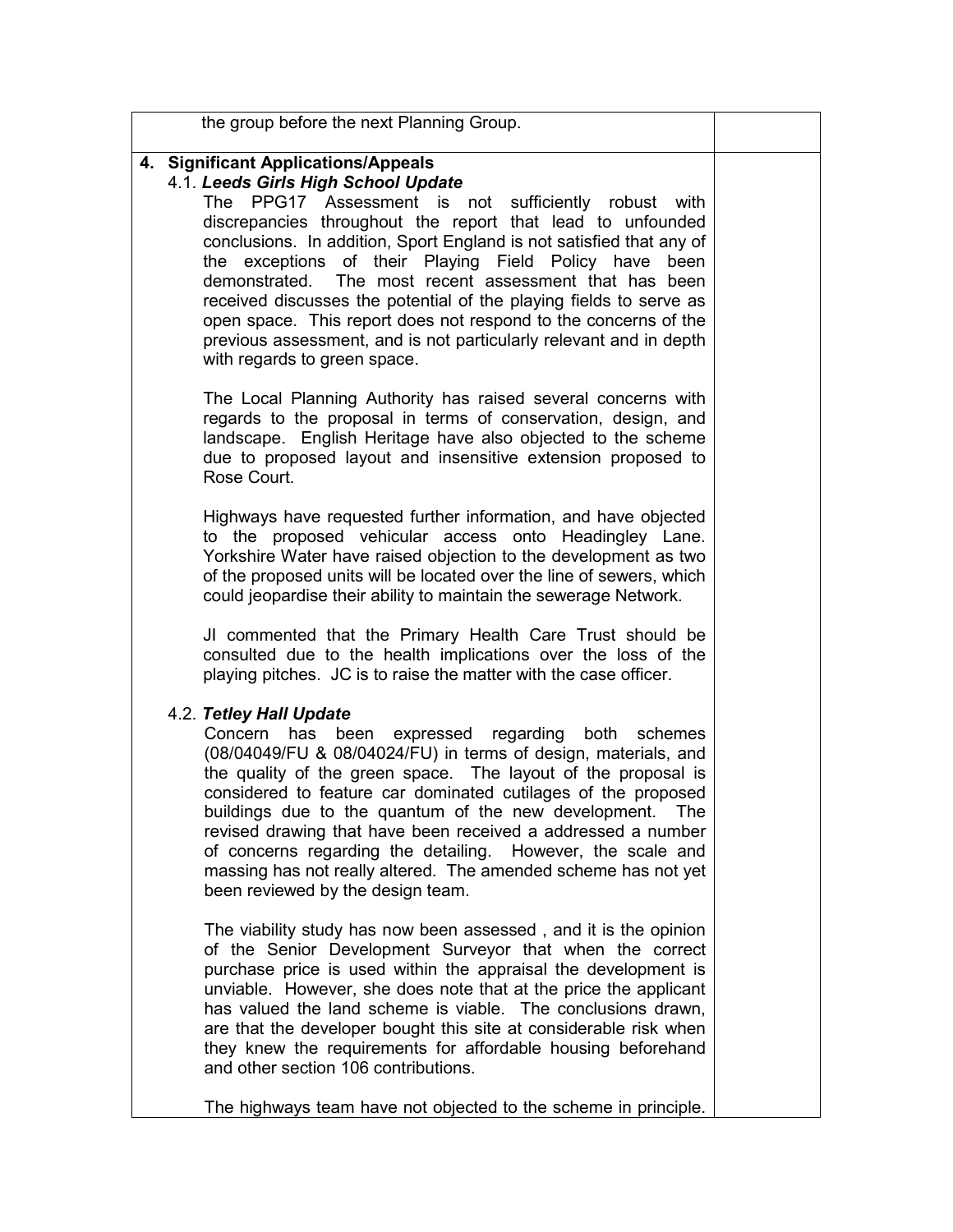the group before the next Planning Group.

## 4. Significant Applications/Appeals

# 4.1. Leeds Girls High School Update

The PPG17 Assessment is not sufficiently robust with discrepancies throughout the report that lead to unfounded conclusions. In addition, Sport England is not satisfied that any of the exceptions of their Playing Field Policy have been demonstrated. The most recent assessment that has been received discusses the potential of the playing fields to serve as open space. This report does not respond to the concerns of the previous assessment, and is not particularly relevant and in depth with regards to green space.

The Local Planning Authority has raised several concerns with regards to the proposal in terms of conservation, design, and landscape. English Heritage have also objected to the scheme due to proposed layout and insensitive extension proposed to Rose Court.

Highways have requested further information, and have objected to the proposed vehicular access onto Headingley Lane. Yorkshire Water have raised objection to the development as two of the proposed units will be located over the line of sewers, which could jeopardise their ability to maintain the sewerage Network.

JI commented that the Primary Health Care Trust should be consulted due to the health implications over the loss of the playing pitches. JC is to raise the matter with the case officer.

# 4.2. Tetley Hall Update

Concern has been expressed regarding both schemes (08/04049/FU & 08/04024/FU) in terms of design, materials, and the quality of the green space. The layout of the proposal is considered to feature car dominated cutilages of the proposed buildings due to the quantum of the new development. The revised drawing that have been received a addressed a number of concerns regarding the detailing. However, the scale and massing has not really altered. The amended scheme has not yet been reviewed by the design team.

The viability study has now been assessed , and it is the opinion of the Senior Development Surveyor that when the correct purchase price is used within the appraisal the development is unviable. However, she does note that at the price the applicant has valued the land scheme is viable. The conclusions drawn, are that the developer bought this site at considerable risk when they knew the requirements for affordable housing beforehand and other section 106 contributions.

The highways team have not objected to the scheme in principle.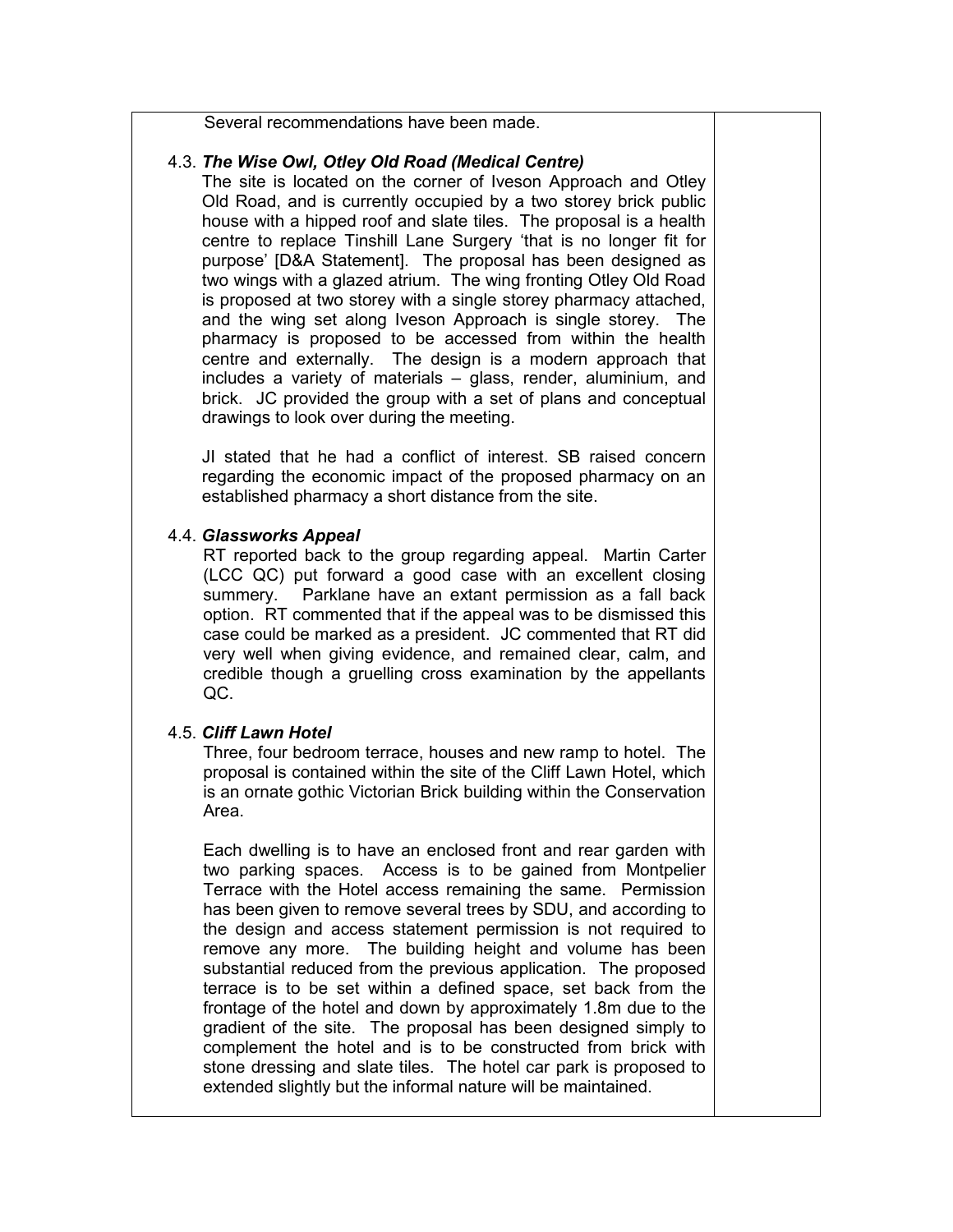Several recommendations have been made.

#### 4.3. The Wise Owl, Otley Old Road (Medical Centre)

The site is located on the corner of Iveson Approach and Otley Old Road, and is currently occupied by a two storey brick public house with a hipped roof and slate tiles. The proposal is a health centre to replace Tinshill Lane Surgery 'that is no longer fit for purpose' [D&A Statement]. The proposal has been designed as two wings with a glazed atrium. The wing fronting Otley Old Road is proposed at two storey with a single storey pharmacy attached, and the wing set along Iveson Approach is single storey. The pharmacy is proposed to be accessed from within the health centre and externally. The design is a modern approach that includes a variety of materials – glass, render, aluminium, and brick. JC provided the group with a set of plans and conceptual drawings to look over during the meeting.

JI stated that he had a conflict of interest. SB raised concern regarding the economic impact of the proposed pharmacy on an established pharmacy a short distance from the site.

#### 4.4. Glassworks Appeal

RT reported back to the group regarding appeal. Martin Carter (LCC QC) put forward a good case with an excellent closing summery. Parklane have an extant permission as a fall back option. RT commented that if the appeal was to be dismissed this case could be marked as a president. JC commented that RT did very well when giving evidence, and remained clear, calm, and credible though a gruelling cross examination by the appellants QC.

### 4.5. Cliff Lawn Hotel

Three, four bedroom terrace, houses and new ramp to hotel. The proposal is contained within the site of the Cliff Lawn Hotel, which is an ornate gothic Victorian Brick building within the Conservation Area.

Each dwelling is to have an enclosed front and rear garden with two parking spaces. Access is to be gained from Montpelier Terrace with the Hotel access remaining the same. Permission has been given to remove several trees by SDU, and according to the design and access statement permission is not required to remove any more. The building height and volume has been substantial reduced from the previous application. The proposed terrace is to be set within a defined space, set back from the frontage of the hotel and down by approximately 1.8m due to the gradient of the site. The proposal has been designed simply to complement the hotel and is to be constructed from brick with stone dressing and slate tiles. The hotel car park is proposed to extended slightly but the informal nature will be maintained.